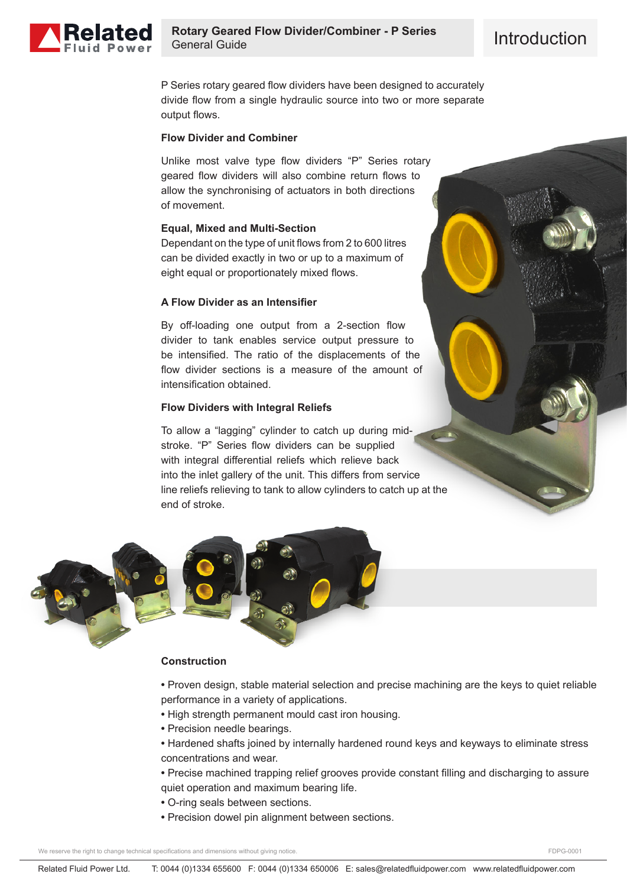

P Series rotary geared flow dividers have been designed to accurately divide flow from a single hydraulic source into two or more separate output flows.

### **Flow Divider and Combiner**

Unlike most valve type flow dividers "P" Series rotary geared flow dividers will also combine return flows to allow the synchronising of actuators in both directions of movement.

## **Equal, Mixed and Multi-Section**

Dependant on the type of unit flows from 2 to 600 litres can be divided exactly in two or up to a maximum of eight equal or proportionately mixed flows.

## **A Flow Divider as an Intensifier**

By off-loading one output from a 2-section flow divider to tank enables service output pressure to be intensified. The ratio of the displacements of the flow divider sections is a measure of the amount of intensification obtained.

## **Flow Dividers with Integral Reliefs**

To allow a "lagging" cylinder to catch up during midstroke. "P" Series flow dividers can be supplied with integral differential reliefs which relieve back into the inlet gallery of the unit. This differs from service line reliefs relieving to tank to allow cylinders to catch up at the end of stroke.



#### **Construction**

**•** Proven design, stable material selection and precise machining are the keys to quiet reliable performance in a variety of applications.

- **•** High strength permanent mould cast iron housing.
- **•** Precision needle bearings.
- **•** Hardened shafts joined by internally hardened round keys and keyways to eliminate stress concentrations and wear.
- **•** Precise machined trapping relief grooves provide constant filling and discharging to assure quiet operation and maximum bearing life.
- **•** O-ring seals between sections.
- **•** Precision dowel pin alignment between sections.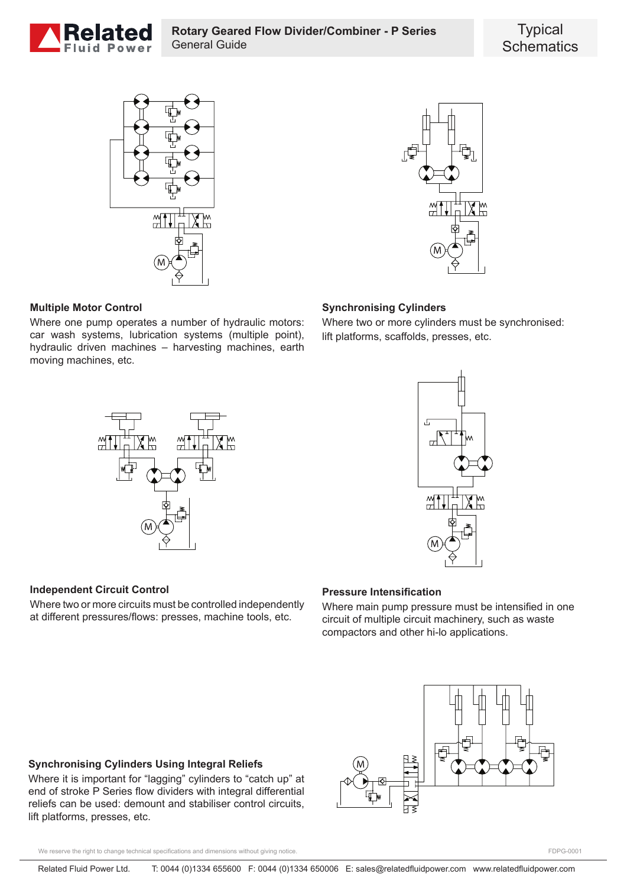





## **Multiple Motor Control**

Where one pump operates a number of hydraulic motors: car wash systems, lubrication systems (multiple point), hydraulic driven machines – harvesting machines, earth moving machines, etc.

# **Synchronising Cylinders**

Where two or more cylinders must be synchronised: lift platforms, scaffolds, presses, etc.





#### **Independent Circuit Control**

Where two or more circuits must be controlled independently at different pressures/flows: presses, machine tools, etc.

## **Pressure Intensification**

Where main pump pressure must be intensified in one circuit of multiple circuit machinery, such as waste compactors and other hi-lo applications.



#### **Synchronising Cylinders Using Integral Reliefs**

Where it is important for "lagging" cylinders to "catch up" at end of stroke P Series flow dividers with integral differential reliefs can be used: demount and stabiliser control circuits, lift platforms, presses, etc.

We reserve the right to change technical specifications and dimensions without giving notice.